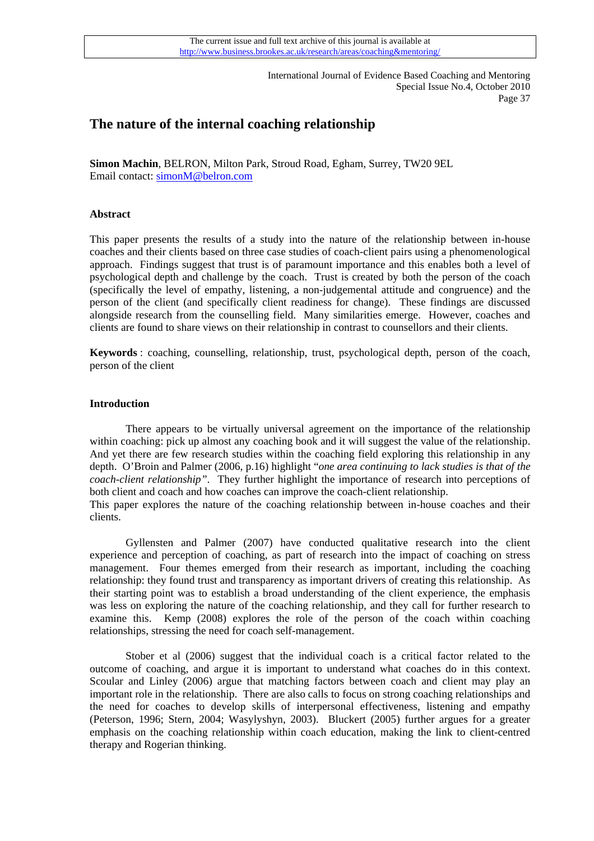# **The nature of the internal coaching relationship**

**Simon Machin**, BELRON, Milton Park, Stroud Road, Egham, Surrey, TW20 9EL Email contact: [simonM@belron.com](mailto:simonM@belron.com)

# **Abstract**

This paper presents the results of a study into the nature of the relationship between in-house coaches and their clients based on three case studies of coach-client pairs using a phenomenological approach. Findings suggest that trust is of paramount importance and this enables both a level of psychological depth and challenge by the coach. Trust is created by both the person of the coach (specifically the level of empathy, listening, a non-judgemental attitude and congruence) and the person of the client (and specifically client readiness for change). These findings are discussed alongside research from the counselling field. Many similarities emerge. However, coaches and clients are found to share views on their relationship in contrast to counsellors and their clients.

**Keywords** : coaching, counselling, relationship, trust, psychological depth, person of the coach, person of the client

## **Introduction**

 There appears to be virtually universal agreement on the importance of the relationship within coaching: pick up almost any coaching book and it will suggest the value of the relationship. And yet there are few research studies within the coaching field exploring this relationship in any depth. O'Broin and Palmer (2006, p.16) highlight "*one area continuing to lack studies is that of the coach-client relationship"*. They further highlight the importance of research into perceptions of both client and coach and how coaches can improve the coach-client relationship. This paper explores the nature of the coaching relationship between in-house coaches and their

clients.

 Gyllensten and Palmer (2007) have conducted qualitative research into the client experience and perception of coaching, as part of research into the impact of coaching on stress management. Four themes emerged from their research as important, including the coaching relationship: they found trust and transparency as important drivers of creating this relationship. As their starting point was to establish a broad understanding of the client experience, the emphasis was less on exploring the nature of the coaching relationship, and they call for further research to examine this. Kemp (2008) explores the role of the person of the coach within coaching relationships, stressing the need for coach self-management.

 Stober et al (2006) suggest that the individual coach is a critical factor related to the outcome of coaching, and argue it is important to understand what coaches do in this context. Scoular and Linley (2006) argue that matching factors between coach and client may play an important role in the relationship. There are also calls to focus on strong coaching relationships and the need for coaches to develop skills of interpersonal effectiveness, listening and empathy (Peterson, 1996; Stern, 2004; Wasylyshyn, 2003). Bluckert (2005) further argues for a greater emphasis on the coaching relationship within coach education, making the link to client-centred therapy and Rogerian thinking.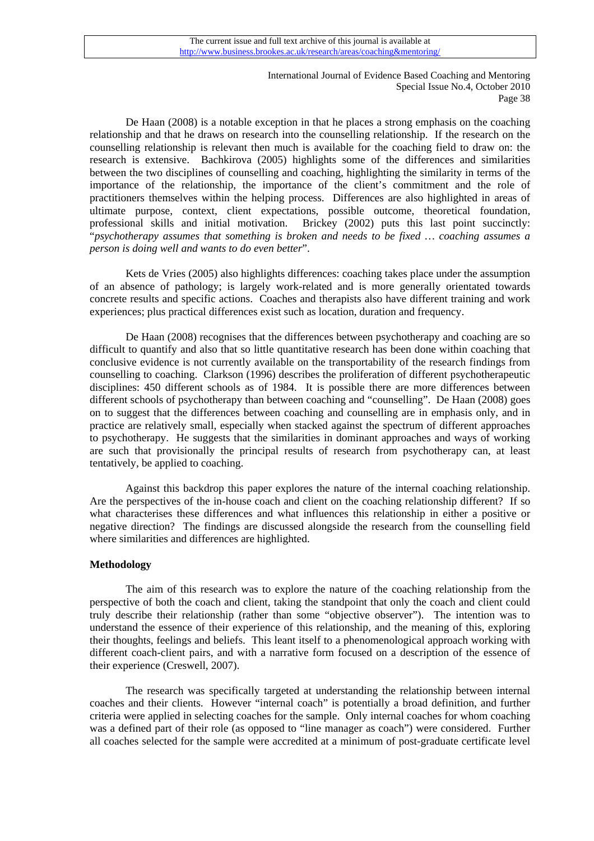De Haan (2008) is a notable exception in that he places a strong emphasis on the coaching relationship and that he draws on research into the counselling relationship. If the research on the counselling relationship is relevant then much is available for the coaching field to draw on: the research is extensive. Bachkirova (2005) highlights some of the differences and similarities between the two disciplines of counselling and coaching, highlighting the similarity in terms of the importance of the relationship, the importance of the client's commitment and the role of practitioners themselves within the helping process. Differences are also highlighted in areas of ultimate purpose, context, client expectations, possible outcome, theoretical foundation, professional skills and initial motivation. Brickey (2002) puts this last point succinctly: "*psychotherapy assumes that something is broken and needs to be fixed … coaching assumes a person is doing well and wants to do even better*".

 Kets de Vries (2005) also highlights differences: coaching takes place under the assumption of an absence of pathology; is largely work-related and is more generally orientated towards concrete results and specific actions. Coaches and therapists also have different training and work experiences; plus practical differences exist such as location, duration and frequency.

 De Haan (2008) recognises that the differences between psychotherapy and coaching are so difficult to quantify and also that so little quantitative research has been done within coaching that conclusive evidence is not currently available on the transportability of the research findings from counselling to coaching. Clarkson (1996) describes the proliferation of different psychotherapeutic disciplines: 450 different schools as of 1984. It is possible there are more differences between different schools of psychotherapy than between coaching and "counselling". De Haan (2008) goes on to suggest that the differences between coaching and counselling are in emphasis only, and in practice are relatively small, especially when stacked against the spectrum of different approaches to psychotherapy. He suggests that the similarities in dominant approaches and ways of working are such that provisionally the principal results of research from psychotherapy can, at least tentatively, be applied to coaching.

 Against this backdrop this paper explores the nature of the internal coaching relationship. Are the perspectives of the in-house coach and client on the coaching relationship different? If so what characterises these differences and what influences this relationship in either a positive or negative direction? The findings are discussed alongside the research from the counselling field where similarities and differences are highlighted.

## **Methodology**

 The aim of this research was to explore the nature of the coaching relationship from the perspective of both the coach and client, taking the standpoint that only the coach and client could truly describe their relationship (rather than some "objective observer"). The intention was to understand the essence of their experience of this relationship, and the meaning of this, exploring their thoughts, feelings and beliefs. This leant itself to a phenomenological approach working with different coach-client pairs, and with a narrative form focused on a description of the essence of their experience (Creswell, 2007).

 The research was specifically targeted at understanding the relationship between internal coaches and their clients. However "internal coach" is potentially a broad definition, and further criteria were applied in selecting coaches for the sample. Only internal coaches for whom coaching was a defined part of their role (as opposed to "line manager as coach") were considered. Further all coaches selected for the sample were accredited at a minimum of post-graduate certificate level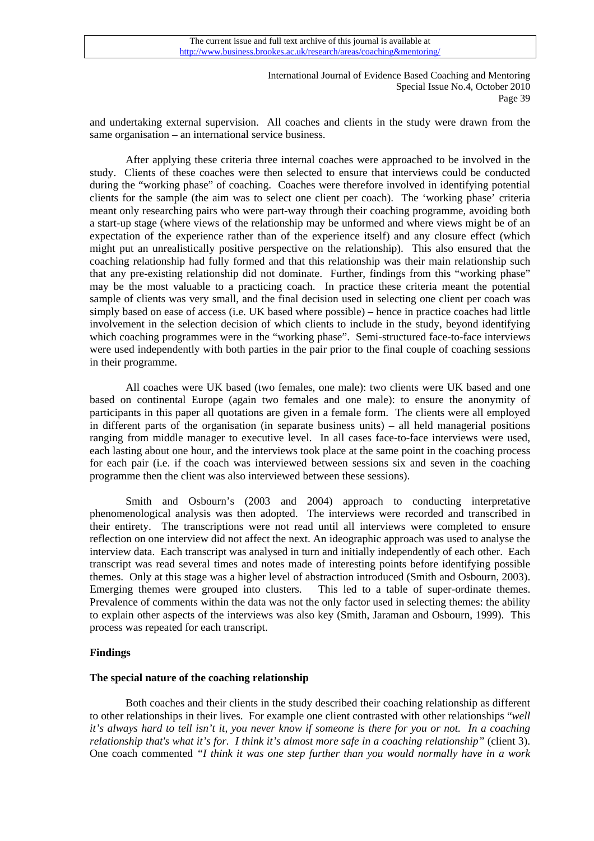and undertaking external supervision. All coaches and clients in the study were drawn from the same organisation – an international service business.

 After applying these criteria three internal coaches were approached to be involved in the study. Clients of these coaches were then selected to ensure that interviews could be conducted during the "working phase" of coaching. Coaches were therefore involved in identifying potential clients for the sample (the aim was to select one client per coach). The 'working phase' criteria meant only researching pairs who were part-way through their coaching programme, avoiding both a start-up stage (where views of the relationship may be unformed and where views might be of an expectation of the experience rather than of the experience itself) and any closure effect (which might put an unrealistically positive perspective on the relationship). This also ensured that the coaching relationship had fully formed and that this relationship was their main relationship such that any pre-existing relationship did not dominate. Further, findings from this "working phase" may be the most valuable to a practicing coach. In practice these criteria meant the potential sample of clients was very small, and the final decision used in selecting one client per coach was simply based on ease of access (i.e. UK based where possible) – hence in practice coaches had little involvement in the selection decision of which clients to include in the study, beyond identifying which coaching programmes were in the "working phase". Semi-structured face-to-face interviews were used independently with both parties in the pair prior to the final couple of coaching sessions in their programme.

All coaches were UK based (two females, one male): two clients were UK based and one based on continental Europe (again two females and one male): to ensure the anonymity of participants in this paper all quotations are given in a female form. The clients were all employed in different parts of the organisation (in separate business units) – all held managerial positions ranging from middle manager to executive level. In all cases face-to-face interviews were used, each lasting about one hour, and the interviews took place at the same point in the coaching process for each pair (i.e. if the coach was interviewed between sessions six and seven in the coaching programme then the client was also interviewed between these sessions).

 Smith and Osbourn's (2003 and 2004) approach to conducting interpretative phenomenological analysis was then adopted. The interviews were recorded and transcribed in their entirety. The transcriptions were not read until all interviews were completed to ensure reflection on one interview did not affect the next. An ideographic approach was used to analyse the interview data. Each transcript was analysed in turn and initially independently of each other. Each transcript was read several times and notes made of interesting points before identifying possible themes. Only at this stage was a higher level of abstraction introduced (Smith and Osbourn, 2003). Emerging themes were grouped into clusters. This led to a table of super-ordinate themes. Prevalence of comments within the data was not the only factor used in selecting themes: the ability to explain other aspects of the interviews was also key (Smith, Jaraman and Osbourn, 1999). This process was repeated for each transcript.

## **Findings**

## **The special nature of the coaching relationship**

 Both coaches and their clients in the study described their coaching relationship as different to other relationships in their lives. For example one client contrasted with other relationships "*well it's always hard to tell isn't it, you never know if someone is there for you or not. In a coaching relationship that's what it's for. I think it's almost more safe in a coaching relationship"* (client 3). One coach commented *"I think it was one step further than you would normally have in a work*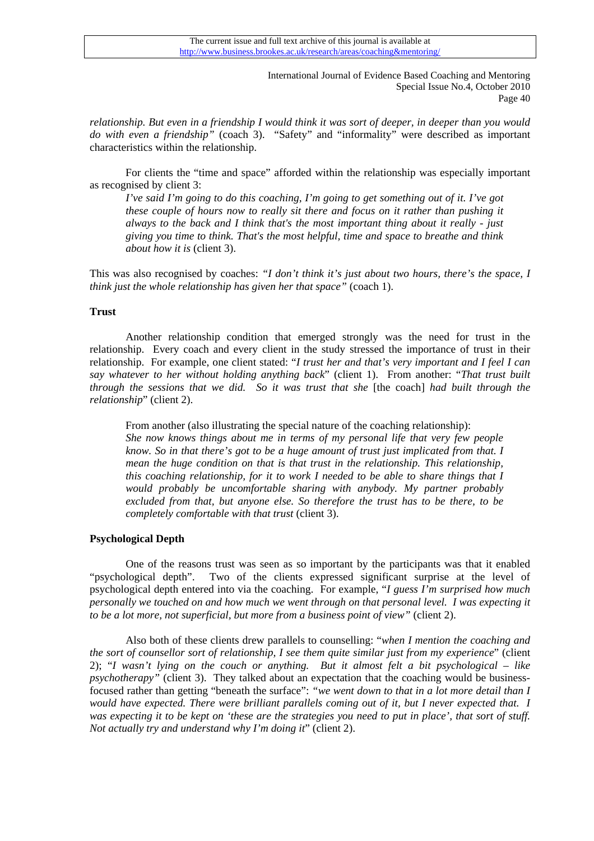*relationship. But even in a friendship I would think it was sort of deeper, in deeper than you would do with even a friendship"* (coach 3). "Safety" and "informality" were described as important characteristics within the relationship.

 For clients the "time and space" afforded within the relationship was especially important as recognised by client 3:

*I've said I'm going to do this coaching, I'm going to get something out of it. I've got these couple of hours now to really sit there and focus on it rather than pushing it always to the back and I think that's the most important thing about it really - just giving you time to think. That's the most helpful, time and space to breathe and think about how it is* (client 3).

This was also recognised by coaches: *"I don't think it's just about two hours, there's the space, I think just the whole relationship has given her that space"* (coach 1).

# **Trust**

Another relationship condition that emerged strongly was the need for trust in the relationship. Every coach and every client in the study stressed the importance of trust in their relationship. For example, one client stated: "*I trust her and that's very important and I feel I can say whatever to her without holding anything back*" (client 1). From another: "*That trust built through the sessions that we did. So it was trust that she* [the coach] *had built through the relationship*" (client 2).

 From another (also illustrating the special nature of the coaching relationship): *She now knows things about me in terms of my personal life that very few people know. So in that there's got to be a huge amount of trust just implicated from that. I mean the huge condition on that is that trust in the relationship. This relationship, this coaching relationship, for it to work I needed to be able to share things that I would probably be uncomfortable sharing with anybody. My partner probably excluded from that, but anyone else. So therefore the trust has to be there, to be completely comfortable with that trust* (client 3).

## **Psychological Depth**

 One of the reasons trust was seen as so important by the participants was that it enabled "psychological depth". Two of the clients expressed significant surprise at the level of psychological depth entered into via the coaching. For example, "*I guess I'm surprised how much personally we touched on and how much we went through on that personal level. I was expecting it to be a lot more, not superficial, but more from a business point of view"* (client 2).

 Also both of these clients drew parallels to counselling: "*when I mention the coaching and the sort of counsellor sort of relationship, I see them quite similar just from my experience*" (client 2); "*I wasn't lying on the couch or anything. But it almost felt a bit psychological – like psychotherapy"* (client 3). They talked about an expectation that the coaching would be businessfocused rather than getting "beneath the surface": *"we went down to that in a lot more detail than I would have expected. There were brilliant parallels coming out of it, but I never expected that. I was expecting it to be kept on 'these are the strategies you need to put in place', that sort of stuff. Not actually try and understand why I'm doing it*" (client 2).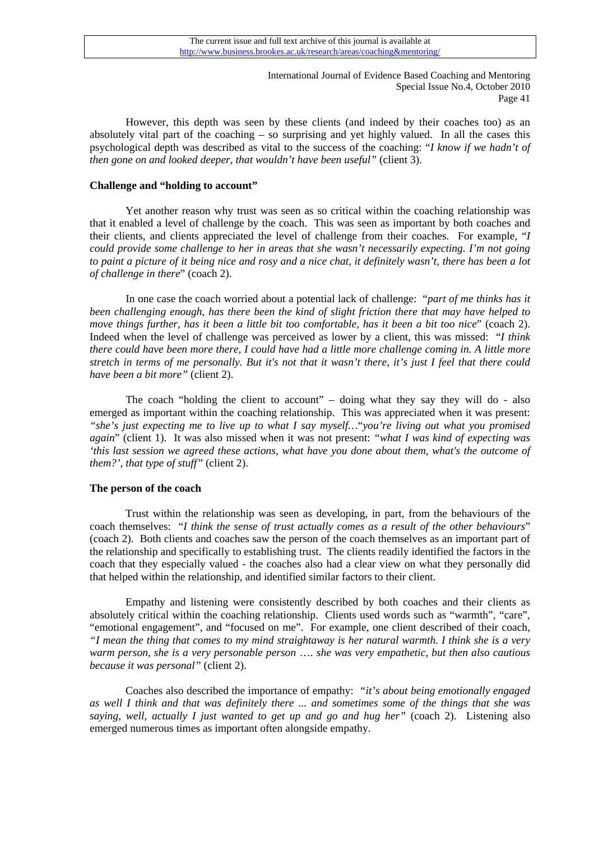However, this depth was seen by these clients (and indeed by their coaches too) as an absolutely vital part of the coaching – so surprising and yet highly valued. In all the cases this psychological depth was described as vital to the success of the coaching: "*I know if we hadn't of then gone on and looked deeper, that wouldn't have been useful"* (client 3).

## **Challenge and "holding to account"**

 Yet another reason why trust was seen as so critical within the coaching relationship was that it enabled a level of challenge by the coach. This was seen as important by both coaches and their clients, and clients appreciated the level of challenge from their coaches. For example, "*I could provide some challenge to her in areas that she wasn't necessarily expecting. I'm not going to paint a picture of it being nice and rosy and a nice chat, it definitely wasn't, there has been a lot of challenge in there*" (coach 2).

 In one case the coach worried about a potential lack of challenge: "*part of me thinks has it been challenging enough, has there been the kind of slight friction there that may have helped to move things further, has it been a little bit too comfortable, has it been a bit too nice*" (coach 2). Indeed when the level of challenge was perceived as lower by a client, this was missed: "*I think there could have been more there, I could have had a little more challenge coming in. A little more stretch in terms of me personally. But it's not that it wasn't there, it's just I feel that there could have been a bit more"* (client 2).

 The coach "holding the client to account" – doing what they say they will do - also emerged as important within the coaching relationship. This was appreciated when it was present: *"she's just expecting me to live up to what I say myself…*"*you're living out what you promised again*" (client 1). It was also missed when it was not present: *"what I was kind of expecting was 'this last session we agreed these actions, what have you done about them, what's the outcome of them?', that type of stuff"* (client 2).

# **The person of the coach**

 Trust within the relationship was seen as developing, in part, from the behaviours of the coach themselves: "*I think the sense of trust actually comes as a result of the other behaviours*" (coach 2). Both clients and coaches saw the person of the coach themselves as an important part of the relationship and specifically to establishing trust. The clients readily identified the factors in the coach that they especially valued - the coaches also had a clear view on what they personally did that helped within the relationship, and identified similar factors to their client.

 Empathy and listening were consistently described by both coaches and their clients as absolutely critical within the coaching relationship. Clients used words such as "warmth", "care", "emotional engagement", and "focused on me". For example, one client described of their coach, *"I mean the thing that comes to my mind straightaway is her natural warmth. I think she is a very warm person, she is a very personable person* …. *she was very empathetic, but then also cautious because it was personal"* (client 2).

 Coaches also described the importance of empathy: *"it's about being emotionally engaged as well I think and that was definitely there ... and sometimes some of the things that she was saying, well, actually I just wanted to get up and go and hug her"* (coach 2). Listening also emerged numerous times as important often alongside empathy.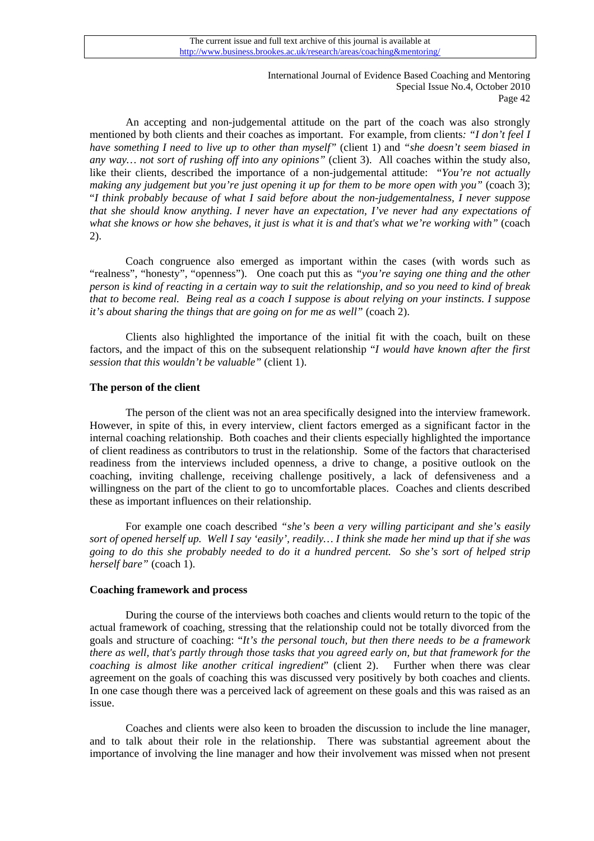An accepting and non-judgemental attitude on the part of the coach was also strongly mentioned by both clients and their coaches as important. For example, from clients*: "I don't feel I have something I need to live up to other than myself"* (client 1) and *"she doesn't seem biased in any way… not sort of rushing off into any opinions"* (client 3). All coaches within the study also, like their clients, described the importance of a non-judgemental attitude: "*You're not actually making any judgement but you're just opening it up for them to be more open with you"* (coach 3); "*I think probably because of what I said before about the non-judgementalness, I never suppose that she should know anything. I never have an expectation, I've never had any expectations of*  what she knows or how she behaves, it just is what it is and that's what we're working with" (coach 2).

 Coach congruence also emerged as important within the cases (with words such as "realness", "honesty", "openness"). One coach put this as *"you're saying one thing and the other person is kind of reacting in a certain way to suit the relationship, and so you need to kind of break that to become real. Being real as a coach I suppose is about relying on your instincts. I suppose it's about sharing the things that are going on for me as well"* (coach 2).

 Clients also highlighted the importance of the initial fit with the coach, built on these factors, and the impact of this on the subsequent relationship "*I would have known after the first session that this wouldn't be valuable"* (client 1).

# **The person of the client**

 The person of the client was not an area specifically designed into the interview framework. However, in spite of this, in every interview, client factors emerged as a significant factor in the internal coaching relationship. Both coaches and their clients especially highlighted the importance of client readiness as contributors to trust in the relationship. Some of the factors that characterised readiness from the interviews included openness, a drive to change, a positive outlook on the coaching, inviting challenge, receiving challenge positively, a lack of defensiveness and a willingness on the part of the client to go to uncomfortable places. Coaches and clients described these as important influences on their relationship.

 For example one coach described *"she's been a very willing participant and she's easily sort of opened herself up. Well I say 'easily', readily… I think she made her mind up that if she was going to do this she probably needed to do it a hundred percent. So she's sort of helped strip herself bare"* (coach 1).

## **Coaching framework and process**

 During the course of the interviews both coaches and clients would return to the topic of the actual framework of coaching, stressing that the relationship could not be totally divorced from the goals and structure of coaching: "*It's the personal touch, but then there needs to be a framework there as well, that's partly through those tasks that you agreed early on, but that framework for the coaching is almost like another critical ingredient*" (client 2). Further when there was clear agreement on the goals of coaching this was discussed very positively by both coaches and clients. In one case though there was a perceived lack of agreement on these goals and this was raised as an issue.

 Coaches and clients were also keen to broaden the discussion to include the line manager, and to talk about their role in the relationship. There was substantial agreement about the importance of involving the line manager and how their involvement was missed when not present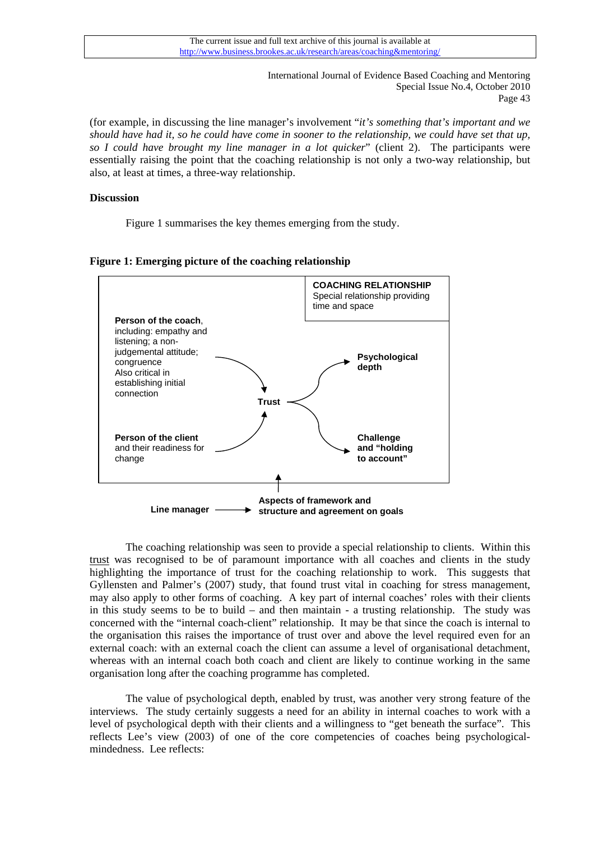(for example, in discussing the line manager's involvement "*it's something that's important and we should have had it, so he could have come in sooner to the relationship, we could have set that up, so I could have brought my line manager in a lot quicker*" (client 2). The participants were essentially raising the point that the coaching relationship is not only a two-way relationship, but also, at least at times, a three-way relationship.

## **Discussion**

Figure 1 summarises the key themes emerging from the study.





The coaching relationship was seen to provide a special relationship to clients. Within this trust was recognised to be of paramount importance with all coaches and clients in the study highlighting the importance of trust for the coaching relationship to work. This suggests that Gyllensten and Palmer's (2007) study, that found trust vital in coaching for stress management, may also apply to other forms of coaching. A key part of internal coaches' roles with their clients in this study seems to be to build – and then maintain - a trusting relationship. The study was concerned with the "internal coach-client" relationship. It may be that since the coach is internal to the organisation this raises the importance of trust over and above the level required even for an external coach: with an external coach the client can assume a level of organisational detachment, whereas with an internal coach both coach and client are likely to continue working in the same organisation long after the coaching programme has completed.

The value of psychological depth, enabled by trust, was another very strong feature of the interviews. The study certainly suggests a need for an ability in internal coaches to work with a level of psychological depth with their clients and a willingness to "get beneath the surface". This reflects Lee's view (2003) of one of the core competencies of coaches being psychologicalmindedness. Lee reflects: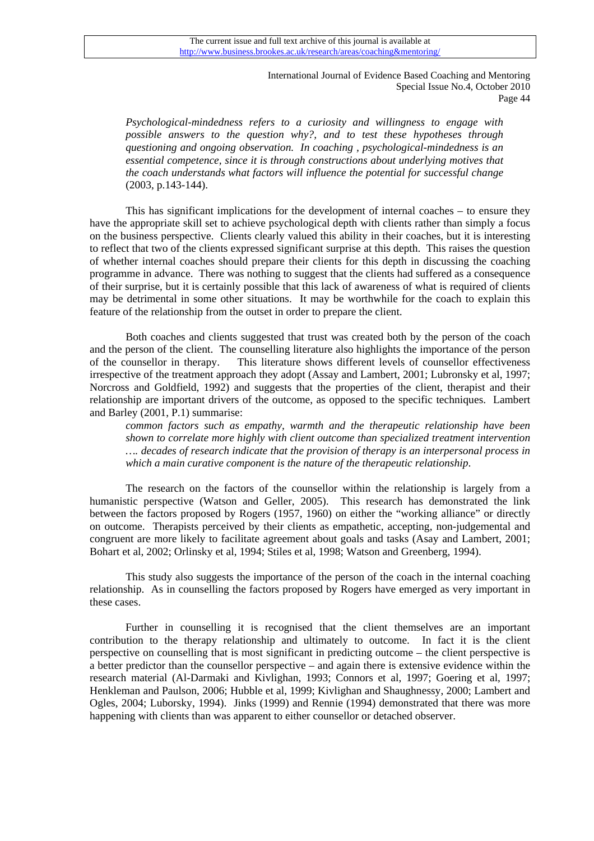*Psychological-mindedness refers to a curiosity and willingness to engage with possible answers to the question why?, and to test these hypotheses through questioning and ongoing observation. In coaching , psychological-mindedness is an essential competence, since it is through constructions about underlying motives that the coach understands what factors will influence the potential for successful change* (2003, p.143-144).

This has significant implications for the development of internal coaches – to ensure they have the appropriate skill set to achieve psychological depth with clients rather than simply a focus on the business perspective. Clients clearly valued this ability in their coaches, but it is interesting to reflect that two of the clients expressed significant surprise at this depth. This raises the question of whether internal coaches should prepare their clients for this depth in discussing the coaching programme in advance. There was nothing to suggest that the clients had suffered as a consequence of their surprise, but it is certainly possible that this lack of awareness of what is required of clients may be detrimental in some other situations. It may be worthwhile for the coach to explain this feature of the relationship from the outset in order to prepare the client.

Both coaches and clients suggested that trust was created both by the person of the coach and the person of the client. The counselling literature also highlights the importance of the person of the counsellor in therapy. This literature shows different levels of counsellor effectiveness irrespective of the treatment approach they adopt (Assay and Lambert, 2001; Lubronsky et al, 1997; Norcross and Goldfield, 1992) and suggests that the properties of the client, therapist and their relationship are important drivers of the outcome, as opposed to the specific techniques. Lambert and Barley (2001, P.1) summarise:

*common factors such as empathy, warmth and the therapeutic relationship have been shown to correlate more highly with client outcome than specialized treatment intervention …. decades of research indicate that the provision of therapy is an interpersonal process in which a main curative component is the nature of the therapeutic relationship*.

The research on the factors of the counsellor within the relationship is largely from a humanistic perspective (Watson and Geller, 2005). This research has demonstrated the link between the factors proposed by Rogers (1957, 1960) on either the "working alliance" or directly on outcome. Therapists perceived by their clients as empathetic, accepting, non-judgemental and congruent are more likely to facilitate agreement about goals and tasks (Asay and Lambert, 2001; Bohart et al, 2002; Orlinsky et al, 1994; Stiles et al, 1998; Watson and Greenberg, 1994).

This study also suggests the importance of the person of the coach in the internal coaching relationship. As in counselling the factors proposed by Rogers have emerged as very important in these cases.

 Further in counselling it is recognised that the client themselves are an important contribution to the therapy relationship and ultimately to outcome. In fact it is the client perspective on counselling that is most significant in predicting outcome – the client perspective is a better predictor than the counsellor perspective – and again there is extensive evidence within the research material (Al-Darmaki and Kivlighan, 1993; Connors et al, 1997; Goering et al, 1997; Henkleman and Paulson, 2006; Hubble et al, 1999; Kivlighan and Shaughnessy, 2000; Lambert and Ogles, 2004; Luborsky, 1994). Jinks (1999) and Rennie (1994) demonstrated that there was more happening with clients than was apparent to either counsellor or detached observer.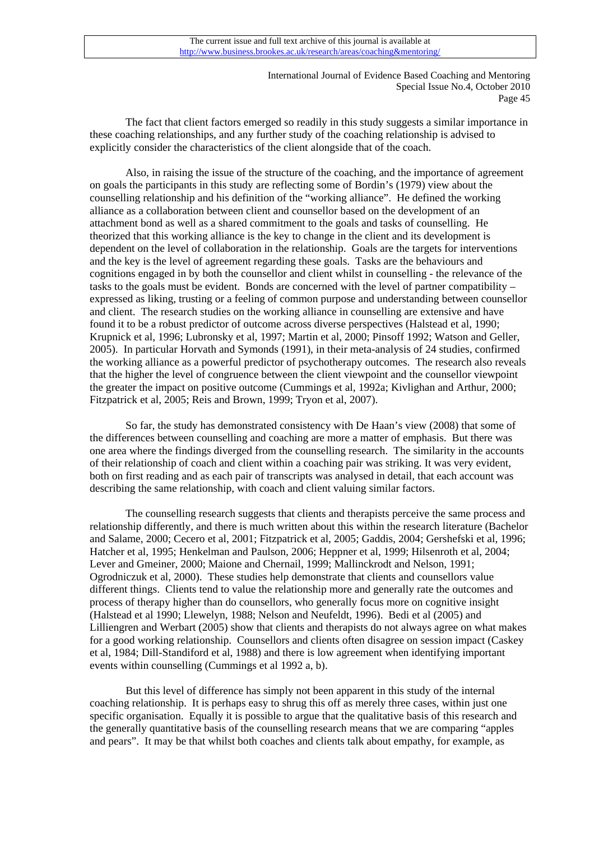The fact that client factors emerged so readily in this study suggests a similar importance in these coaching relationships, and any further study of the coaching relationship is advised to explicitly consider the characteristics of the client alongside that of the coach.

 Also, in raising the issue of the structure of the coaching, and the importance of agreement on goals the participants in this study are reflecting some of Bordin's (1979) view about the counselling relationship and his definition of the "working alliance". He defined the working alliance as a collaboration between client and counsellor based on the development of an attachment bond as well as a shared commitment to the goals and tasks of counselling. He theorized that this working alliance is the key to change in the client and its development is dependent on the level of collaboration in the relationship. Goals are the targets for interventions and the key is the level of agreement regarding these goals. Tasks are the behaviours and cognitions engaged in by both the counsellor and client whilst in counselling - the relevance of the tasks to the goals must be evident. Bonds are concerned with the level of partner compatibility – expressed as liking, trusting or a feeling of common purpose and understanding between counsellor and client. The research studies on the working alliance in counselling are extensive and have found it to be a robust predictor of outcome across diverse perspectives (Halstead et al, 1990; Krupnick et al, 1996; Lubronsky et al, 1997; Martin et al, 2000; Pinsoff 1992; Watson and Geller, 2005). In particular Horvath and Symonds (1991), in their meta-analysis of 24 studies, confirmed the working alliance as a powerful predictor of psychotherapy outcomes. The research also reveals that the higher the level of congruence between the client viewpoint and the counsellor viewpoint the greater the impact on positive outcome (Cummings et al, 1992a; Kivlighan and Arthur, 2000; Fitzpatrick et al, 2005; Reis and Brown, 1999; Tryon et al, 2007).

 So far, the study has demonstrated consistency with De Haan's view (2008) that some of the differences between counselling and coaching are more a matter of emphasis. But there was one area where the findings diverged from the counselling research. The similarity in the accounts of their relationship of coach and client within a coaching pair was striking. It was very evident, both on first reading and as each pair of transcripts was analysed in detail, that each account was describing the same relationship, with coach and client valuing similar factors.

 The counselling research suggests that clients and therapists perceive the same process and relationship differently, and there is much written about this within the research literature (Bachelor and Salame, 2000; Cecero et al, 2001; Fitzpatrick et al, 2005; Gaddis, 2004; Gershefski et al, 1996; Hatcher et al, 1995; Henkelman and Paulson, 2006; Heppner et al, 1999; Hilsenroth et al, 2004; Lever and Gmeiner, 2000; Maione and Chernail, 1999; Mallinckrodt and Nelson, 1991; Ogrodniczuk et al, 2000). These studies help demonstrate that clients and counsellors value different things. Clients tend to value the relationship more and generally rate the outcomes and process of therapy higher than do counsellors, who generally focus more on cognitive insight (Halstead et al 1990; Llewelyn, 1988; Nelson and Neufeldt, 1996). Bedi et al (2005) and Lilliengren and Werbart (2005) show that clients and therapists do not always agree on what makes for a good working relationship. Counsellors and clients often disagree on session impact (Caskey et al, 1984; Dill-Standiford et al, 1988) and there is low agreement when identifying important events within counselling (Cummings et al 1992 a, b).

But this level of difference has simply not been apparent in this study of the internal coaching relationship. It is perhaps easy to shrug this off as merely three cases, within just one specific organisation. Equally it is possible to argue that the qualitative basis of this research and the generally quantitative basis of the counselling research means that we are comparing "apples and pears". It may be that whilst both coaches and clients talk about empathy, for example, as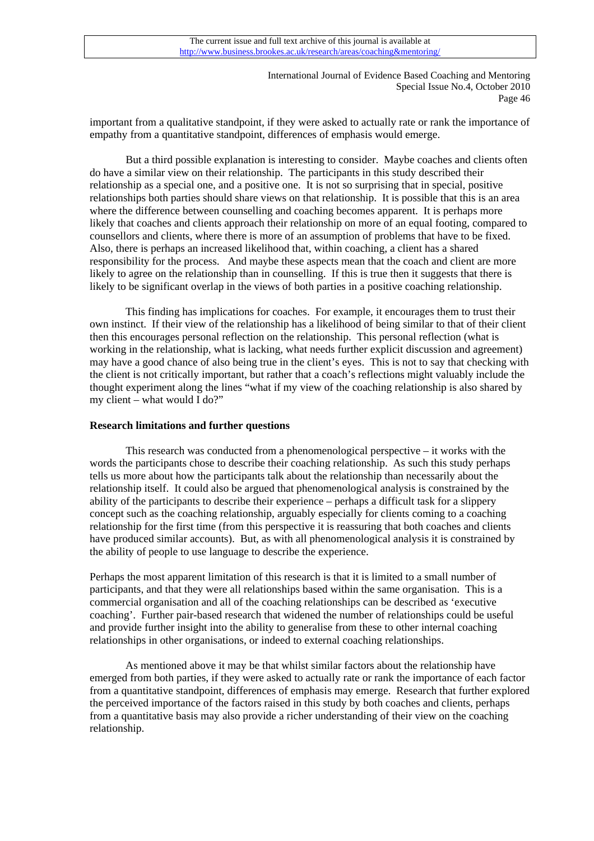important from a qualitative standpoint, if they were asked to actually rate or rank the importance of empathy from a quantitative standpoint, differences of emphasis would emerge.

But a third possible explanation is interesting to consider. Maybe coaches and clients often do have a similar view on their relationship. The participants in this study described their relationship as a special one, and a positive one. It is not so surprising that in special, positive relationships both parties should share views on that relationship. It is possible that this is an area where the difference between counselling and coaching becomes apparent. It is perhaps more likely that coaches and clients approach their relationship on more of an equal footing, compared to counsellors and clients, where there is more of an assumption of problems that have to be fixed. Also, there is perhaps an increased likelihood that, within coaching, a client has a shared responsibility for the process. And maybe these aspects mean that the coach and client are more likely to agree on the relationship than in counselling. If this is true then it suggests that there is likely to be significant overlap in the views of both parties in a positive coaching relationship.

 This finding has implications for coaches. For example, it encourages them to trust their own instinct. If their view of the relationship has a likelihood of being similar to that of their client then this encourages personal reflection on the relationship. This personal reflection (what is working in the relationship, what is lacking, what needs further explicit discussion and agreement) may have a good chance of also being true in the client's eyes. This is not to say that checking with the client is not critically important, but rather that a coach's reflections might valuably include the thought experiment along the lines "what if my view of the coaching relationship is also shared by my client – what would I do?"

# **Research limitations and further questions**

This research was conducted from a phenomenological perspective – it works with the words the participants chose to describe their coaching relationship. As such this study perhaps tells us more about how the participants talk about the relationship than necessarily about the relationship itself. It could also be argued that phenomenological analysis is constrained by the ability of the participants to describe their experience – perhaps a difficult task for a slippery concept such as the coaching relationship, arguably especially for clients coming to a coaching relationship for the first time (from this perspective it is reassuring that both coaches and clients have produced similar accounts). But, as with all phenomenological analysis it is constrained by the ability of people to use language to describe the experience.

Perhaps the most apparent limitation of this research is that it is limited to a small number of participants, and that they were all relationships based within the same organisation. This is a commercial organisation and all of the coaching relationships can be described as 'executive coaching'. Further pair-based research that widened the number of relationships could be useful and provide further insight into the ability to generalise from these to other internal coaching relationships in other organisations, or indeed to external coaching relationships.

 As mentioned above it may be that whilst similar factors about the relationship have emerged from both parties, if they were asked to actually rate or rank the importance of each factor from a quantitative standpoint, differences of emphasis may emerge. Research that further explored the perceived importance of the factors raised in this study by both coaches and clients, perhaps from a quantitative basis may also provide a richer understanding of their view on the coaching relationship.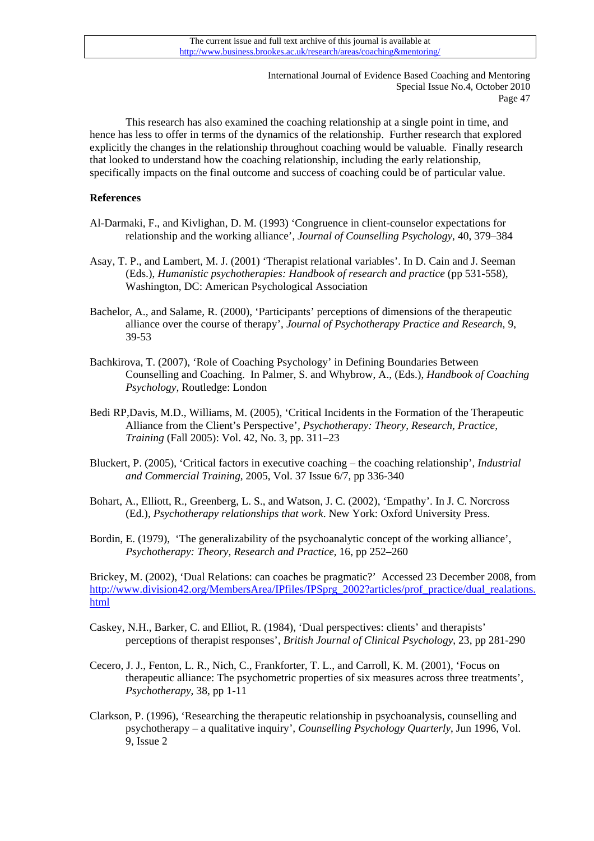This research has also examined the coaching relationship at a single point in time, and hence has less to offer in terms of the dynamics of the relationship. Further research that explored explicitly the changes in the relationship throughout coaching would be valuable. Finally research that looked to understand how the coaching relationship, including the early relationship, specifically impacts on the final outcome and success of coaching could be of particular value.

# **References**

- Al-Darmaki, F., and Kivlighan, D. M. (1993) 'Congruence in client-counselor expectations for relationship and the working alliance', *Journal of Counselling Psychology*, 40, 379–384
- Asay, T. P., and Lambert, M. J. (2001) 'Therapist relational variables'. In D. Cain and J. Seeman (Eds.), *Humanistic psychotherapies: Handbook of research and practice* (pp 531-558), Washington, DC: American Psychological Association
- Bachelor, A., and Salame, R. (2000), 'Participants' perceptions of dimensions of the therapeutic alliance over the course of therapy', *Journal of Psychotherapy Practice and Research*, 9, 39-53
- Bachkirova, T. (2007), 'Role of Coaching Psychology' in Defining Boundaries Between Counselling and Coaching. In Palmer, S. and Whybrow, A., (Eds.), *Handbook of Coaching Psychology,* Routledge: London
- Bedi RP,Davis, M.D., Williams, M. (2005), 'Critical Incidents in the Formation of the Therapeutic Alliance from the Client's Perspective'*, Psychotherapy: Theory, Research, Practice, Training* (Fall 2005): Vol. 42, No. 3, pp. 311–23
- Bluckert, P. (2005), 'Critical factors in executive coaching the coaching relationship'*, Industrial and Commercial Training,* 2005, Vol. 37 Issue 6/7, pp 336-340
- Bohart, A., Elliott, R., Greenberg, L. S., and Watson, J. C. (2002), 'Empathy'. In J. C. Norcross (Ed.), *Psychotherapy relationships that work*. New York: Oxford University Press.
- Bordin, E. (1979), 'The generalizability of the psychoanalytic concept of the working alliance', *Psychotherapy: Theory, Research and Practice*, 16, pp 252–260

Brickey, M. (2002), 'Dual Relations: can coaches be pragmatic?' Accessed 23 December 2008, from [http://www.division42.org/MembersArea/IPfiles/IPSprg\\_2002?articles/prof\\_practice/dual\\_realations.](http://www.division42.org/MembersArea/IPfiles/IPSprg_2002?articles/prof_practice/dual_realations.html) [html](http://www.division42.org/MembersArea/IPfiles/IPSprg_2002?articles/prof_practice/dual_realations.html)

- Caskey, N.H., Barker, C. and Elliot, R. (1984), 'Dual perspectives: clients' and therapists' perceptions of therapist responses', *British Journal of Clinical Psychology*, 23, pp 281-290
- Cecero, J. J., Fenton, L. R., Nich, C., Frankforter, T. L., and Carroll, K. M. (2001), 'Focus on therapeutic alliance: The psychometric properties of six measures across three treatments', *Psychotherapy*, 38, pp 1-11
- Clarkson, P. (1996), 'Researching the therapeutic relationship in psychoanalysis, counselling and psychotherapy – a qualitative inquiry'*, Counselling Psychology Quarterly*, Jun 1996, Vol. 9, Issue 2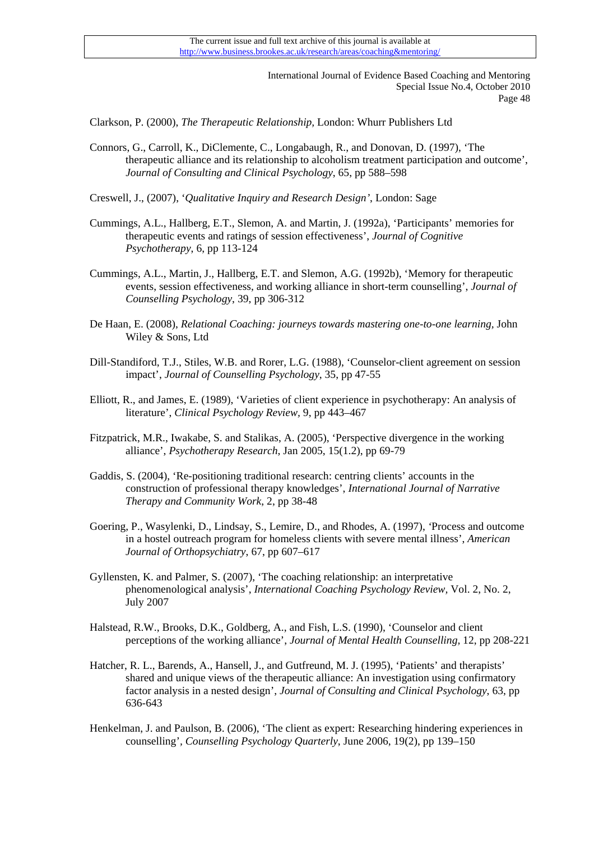Clarkson, P. (2000), *The Therapeutic Relationship,* London: Whurr Publishers Ltd

Connors, G., Carroll, K., DiClemente, C., Longabaugh, R., and Donovan, D. (1997), 'The therapeutic alliance and its relationship to alcoholism treatment participation and outcome', *Journal of Consulting and Clinical Psychology*, 65, pp 588–598

Creswell, J., (2007), '*Qualitative Inquiry and Research Design'*, London: Sage

- Cummings, A.L., Hallberg, E.T., Slemon, A. and Martin, J. (1992a), 'Participants' memories for therapeutic events and ratings of session effectiveness', *Journal of Cognitive Psychotherapy*, 6, pp 113-124
- Cummings, A.L., Martin, J., Hallberg, E.T. and Slemon, A.G. (1992b), 'Memory for therapeutic events, session effectiveness, and working alliance in short-term counselling', *Journal of Counselling Psychology*, 39, pp 306-312
- De Haan, E. (2008), *Relational Coaching: journeys towards mastering one-to-one learning,* John Wiley & Sons, Ltd
- Dill-Standiford, T.J., Stiles, W.B. and Rorer, L.G. (1988), 'Counselor-client agreement on session impact', *Journal of Counselling Psychology*, 35, pp 47-55
- Elliott, R., and James, E. (1989), 'Varieties of client experience in psychotherapy: An analysis of literature', *Clinical Psychology Review,* 9, pp 443–467
- Fitzpatrick, M.R., Iwakabe, S. and Stalikas, A. (2005), 'Perspective divergence in the working alliance', *Psychotherapy Research*, Jan 2005, 15(1.2), pp 69-79
- Gaddis, S. (2004), 'Re-positioning traditional research: centring clients' accounts in the construction of professional therapy knowledges', *International Journal of Narrative Therapy and Community Work*, 2, pp 38-48
- Goering, P., Wasylenki, D., Lindsay, S., Lemire, D., and Rhodes, A. (1997), *'*Process and outcome in a hostel outreach program for homeless clients with severe mental illness', *American Journal of Orthopsychiatry*, 67, pp 607–617
- Gyllensten, K. and Palmer, S. (2007), 'The coaching relationship: an interpretative phenomenological analysis', *International Coaching Psychology Review,* Vol. 2, No. 2, July 2007
- Halstead, R.W., Brooks, D.K., Goldberg, A., and Fish, L.S. (1990), 'Counselor and client perceptions of the working alliance', *Journal of Mental Health Counselling,* 12, pp 208-221
- Hatcher, R. L., Barends, A., Hansell, J., and Gutfreund, M. J. (1995), 'Patients' and therapists' shared and unique views of the therapeutic alliance: An investigation using confirmatory factor analysis in a nested design', *Journal of Consulting and Clinical Psychology*, 63, pp 636-643
- Henkelman, J. and Paulson, B. (2006), 'The client as expert: Researching hindering experiences in counselling'*, Counselling Psychology Quarterly*, June 2006, 19(2), pp 139–150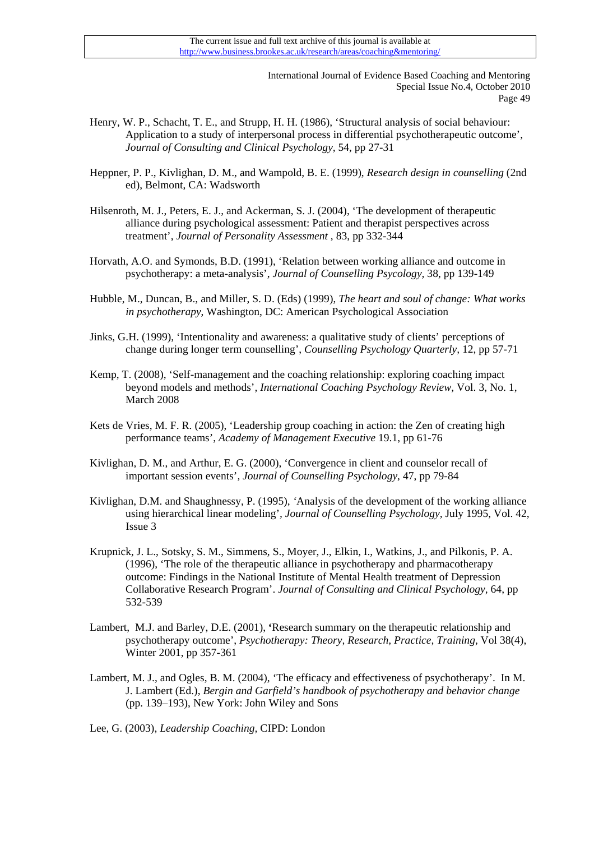- Henry, W. P., Schacht, T. E., and Strupp, H. H. (1986), 'Structural analysis of social behaviour: Application to a study of interpersonal process in differential psychotherapeutic outcome',  *Journal of Consulting and Clinical Psychology,* 54, pp 27-31
- Heppner, P. P., Kivlighan, D. M., and Wampold, B. E. (1999), *Research design in counselling* (2nd ed), Belmont, CA: Wadsworth
- Hilsenroth, M. J., Peters, E. J., and Ackerman, S. J. (2004), 'The development of therapeutic alliance during psychological assessment: Patient and therapist perspectives across treatment', *Journal of Personality Assessment* , 83, pp 332-344
- Horvath, A.O. and Symonds, B.D. (1991), 'Relation between working alliance and outcome in psychotherapy: a meta-analysis', *Journal of Counselling Psycology,* 38, pp 139-149
- Hubble, M., Duncan, B., and Miller, S. D. (Eds) (1999), *The heart and soul of change: What works in psychotherapy*, Washington, DC: American Psychological Association
- Jinks, G.H. (1999), 'Intentionality and awareness: a qualitative study of clients' perceptions of change during longer term counselling', *Counselling Psychology Quarterly,* 12, pp 57-71
- Kemp, T. (2008), 'Self-management and the coaching relationship: exploring coaching impact beyond models and methods'*, International Coaching Psychology Review,* Vol. 3, No. 1, March 2008
- Kets de Vries, M. F. R. (2005), 'Leadership group coaching in action: the Zen of creating high performance teams', *Academy of Management Executive* 19.1, pp 61-76
- Kivlighan, D. M., and Arthur, E. G. (2000), 'Convergence in client and counselor recall of important session events'*, Journal of Counselling Psychology*, 47, pp 79-84
- Kivlighan, D.M. and Shaughnessy, P. (1995), *'*Analysis of the development of the working alliance using hierarchical linear modeling'*, Journal of Counselling Psychology,* July 1995, Vol. 42, Issue 3
- Krupnick, J. L., Sotsky, S. M., Simmens, S., Moyer, J., Elkin, I., Watkins, J., and Pilkonis, P. A. (1996), 'The role of the therapeutic alliance in psychotherapy and pharmacotherapy outcome: Findings in the National Institute of Mental Health treatment of Depression Collaborative Research Program'. *Journal of Consulting and Clinical Psychology,* 64, pp 532-539
- Lambert, M.J. and Barley, D.E. (2001), **'**Research summary on the therapeutic relationship and psychotherapy outcome', *Psychotherapy: Theory, Research, Practice, Training,* Vol 38(4), Winter 2001, pp 357-361
- Lambert, M. J., and Ogles, B. M. (2004), 'The efficacy and effectiveness of psychotherapy'. In M. J. Lambert (Ed.), *Bergin and Garfield's handbook of psychotherapy and behavior change*  (pp. 139–193), New York: John Wiley and Sons
- Lee, G. (2003), *Leadership Coaching,* CIPD: London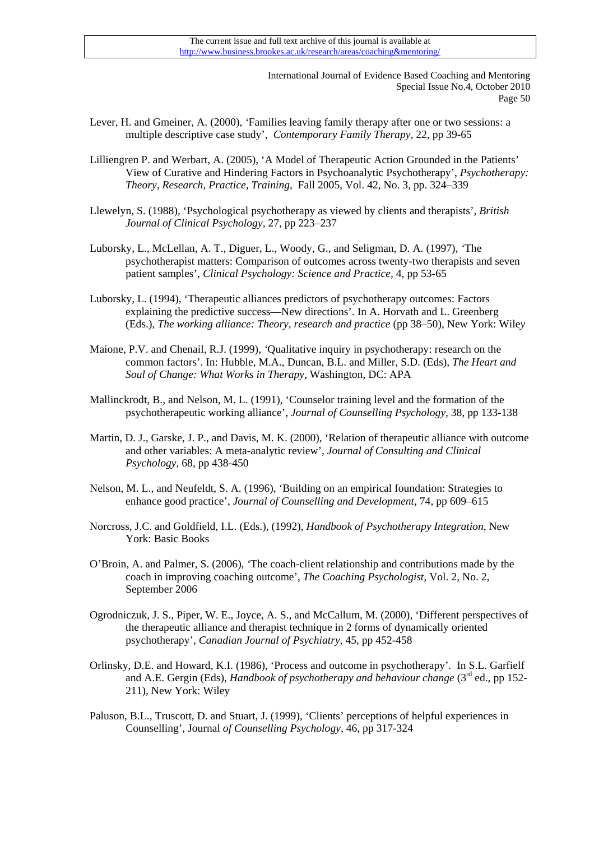- Lever, H. and Gmeiner, A. (2000), *'*Families leaving family therapy after one or two sessions: a multiple descriptive case study', *Contemporary Family Therapy*, 22, pp 39-65
- Lilliengren P. and Werbart, A. (2005), 'A Model of Therapeutic Action Grounded in the Patients' View of Curative and Hindering Factors in Psychoanalytic Psychotherapy', *Psychotherapy: Theory, Research, Practice, Training,* Fall 2005, Vol. 42, No. 3, pp. 324–339
- Llewelyn, S. (1988), 'Psychological psychotherapy as viewed by clients and therapists', *British Journal of Clinical Psychology,* 27, pp 223–237
- Luborsky, L., McLellan, A. T., Diguer, L., Woody, G., and Seligman, D. A. (1997), *'*The psychotherapist matters: Comparison of outcomes across twenty-two therapists and seven patient samples', *Clinical Psychology: Science and Practice,* 4, pp 53-65
- Luborsky, L. (1994), 'Therapeutic alliances predictors of psychotherapy outcomes: Factors explaining the predictive success—New directions'. In A. Horvath and L. Greenberg (Eds.), *The working alliance: Theory, research and practice* (pp 38–50), New York: Wile*y*
- Maione, P.V. and Chenail, R.J. (1999), *'*Qualitative inquiry in psychotherapy: research on the common factors'. In: Hubble, M.A., Duncan, B.L. and Miller, S.D. (Eds), *The Heart and Soul of Change: What Works in Therapy,* Washington, DC: APA
- Mallinckrodt, B., and Nelson, M. L. (1991), 'Counselor training level and the formation of the psychotherapeutic working alliance', *Journal of Counselling Psychology,* 38, pp 133-138
- Martin, D. J., Garske, J. P., and Davis, M. K. (2000), 'Relation of therapeutic alliance with outcome and other variables: A meta-analytic review', *Journal of Consulting and Clinical Psychology*, 68, pp 438-450
- Nelson, M. L., and Neufeldt, S. A. (1996), 'Building on an empirical foundation: Strategies to enhance good practice', *Journal of Counselling and Development,* 74, pp 609–615
- Norcross, J.C. and Goldfield, I.L. (Eds.), (1992), *Handbook of Psychotherapy Integration*, New York: Basic Books
- O'Broin, A. and Palmer, S. (2006), *'*The coach-client relationship and contributions made by the coach in improving coaching outcome', *The Coaching Psychologist,* Vol. 2, No. 2, September 2006
- Ogrodniczuk, J. S., Piper, W. E., Joyce, A. S., and McCallum, M. (2000), 'Different perspectives of the therapeutic alliance and therapist technique in 2 forms of dynamically oriented psychotherapy', *Canadian Journal of Psychiatry,* 45, pp 452-458
- Orlinsky, D.E. and Howard, K.I. (1986), 'Process and outcome in psychotherapy'*.* In S.L. Garfielf and A.E. Gergin (Eds), *Handbook of psychotherapy and behaviour change* (3<sup>rd</sup> ed., pp 152-211), New York: Wiley
- Paluson, B.L., Truscott, D. and Stuart, J. (1999), 'Clients' perceptions of helpful experiences in Counselling', Journal *of Counselling Psychology,* 46, pp 317-324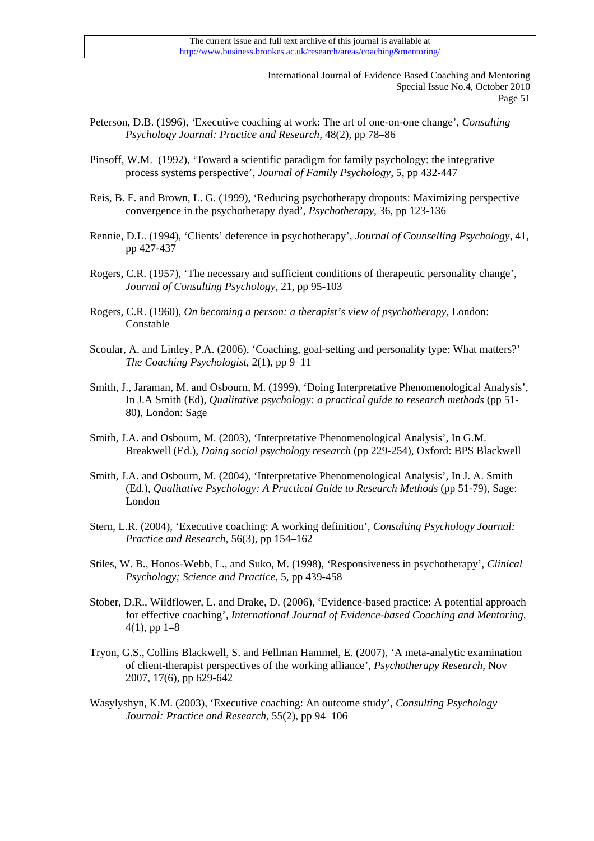- Peterson, D.B. (1996)*, '*Executive coaching at work: The art of one-on-one change', *Consulting Psychology Journal: Practice and Research,* 48(2), pp 78–86
- Pinsoff, W.M. (1992), 'Toward a scientific paradigm for family psychology: the integrative process systems perspective', *Journal of Family Psychology,* 5, pp 432-447
- Reis, B. F. and Brown, L. G. (1999), 'Reducing psychotherapy dropouts: Maximizing perspective convergence in the psychotherapy dyad', *Psychotherapy,* 36, pp 123-136
- Rennie, D.L. (1994), 'Clients' deference in psychotherapy', *Journal of Counselling Psychology,* 41, pp 427-437
- Rogers, C.R. (1957), 'The necessary and sufficient conditions of therapeutic personality change',  *Journal of Consulting Psychology,* 21, pp 95-103
- Rogers, C.R. (1960), *On becoming a person: a therapist's view of psychotherapy,* London: Constable
- Scoular, A. and Linley, P.A. (2006), 'Coaching, goal-setting and personality type: What matters?' *The Coaching Psychologist,* 2(1), pp 9–11
- Smith, J., Jaraman, M. and Osbourn, M. (1999), 'Doing Interpretative Phenomenological Analysis'*,*  In J.A Smith (Ed), *Qualitative psychology: a practical guide to research methods* (pp 51- 80), London: Sage
- Smith, J.A. and Osbourn, M. (2003), 'Interpretative Phenomenological Analysis'*,* In G.M. Breakwell (Ed.), *Doing social psychology research* (pp 229-254), Oxford: BPS Blackwell
- Smith, J.A. and Osbourn, M. (2004), 'Interpretative Phenomenological Analysis'*,* In J. A. Smith (Ed.), *Qualitative Psychology: A Practical Guide to Research Methods* (pp 51-79), Sage: London
- Stern, L.R. (2004), 'Executive coaching: A working definition'*, Consulting Psychology Journal: Practice and Research*, 56(3), pp 154–162
- Stiles, W. B., Honos-Webb, L., and Suko, M. (1998), *'*Responsiveness in psychotherapy', *Clinical Psychology; Science and Practice,* 5, pp 439-458
- Stober, D.R., Wildflower, L. and Drake, D. (2006), 'Evidence-based practice: A potential approach for effective coaching'*, International Journal of Evidence-based Coaching and Mentoring*,  $4(1)$ , pp  $1-8$
- Tryon, G.S., Collins Blackwell, S. and Fellman Hammel, E. (2007), 'A meta-analytic examination of client-therapist perspectives of the working alliance', *Psychotherapy Research,* Nov 2007, 17(6), pp 629-642
- Wasylyshyn, K.M. (2003), 'Executive coaching: An outcome study', *Consulting Psychology Journal: Practice and Research,* 55(2), pp 94–106